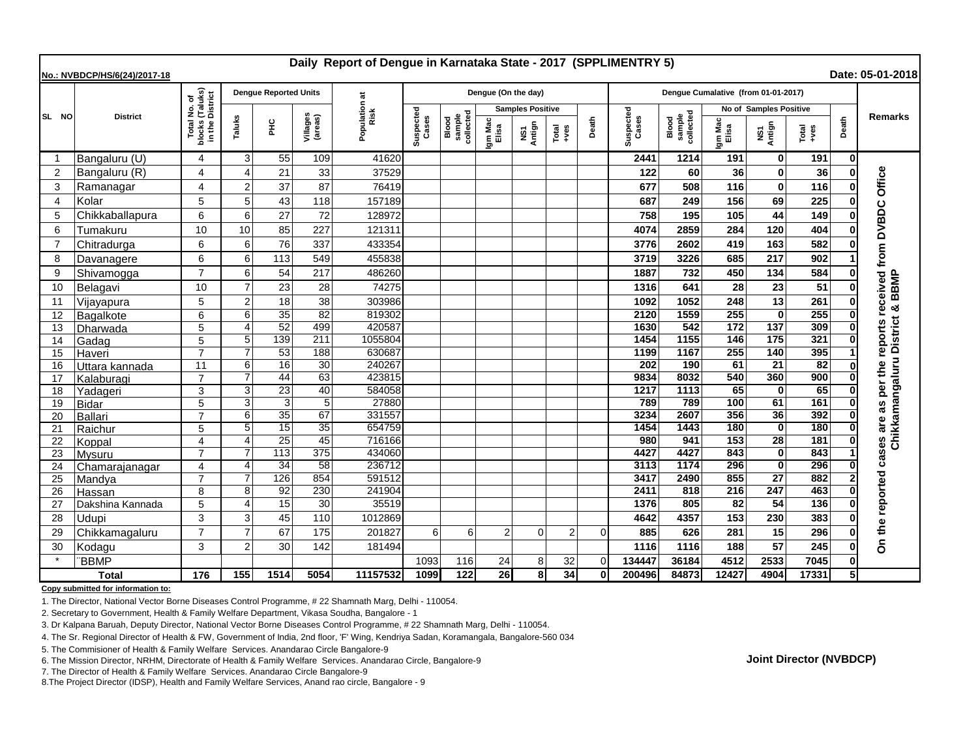| Daily Report of Dengue in Karnataka State - 2017 (SPPLIMENTRY 5)<br>Date: 05-01-2018<br>No.: NVBDCP/HS/6(24)/2017-18 |                  |                                                                 |                              |                 |                       |                      |                    |                              |                         |               |                |              |                                     |                              |                        |                    |               |              |                            |
|----------------------------------------------------------------------------------------------------------------------|------------------|-----------------------------------------------------------------|------------------------------|-----------------|-----------------------|----------------------|--------------------|------------------------------|-------------------------|---------------|----------------|--------------|-------------------------------------|------------------------------|------------------------|--------------------|---------------|--------------|----------------------------|
|                                                                                                                      | <b>District</b>  |                                                                 | <b>Dengue Reported Units</b> |                 |                       | ಸ                    |                    |                              | Dengue (On the day)     |               |                |              | Dengue Cumalative (from 01-01-2017) |                              |                        |                    |               |              |                            |
| SL NO                                                                                                                |                  | l No. of<br>(Taluks)<br>District<br>Total<br>blocks<br>in the I |                              |                 |                       | Population a<br>Risk |                    |                              | <b>Samples Positive</b> |               |                |              |                                     |                              | No of Samples Positive |                    |               |              |                            |
|                                                                                                                      |                  |                                                                 | Taluks                       | 웊               | Villages<br>(areas)   |                      | Suspected<br>Cases | sample<br>collected<br>Blood | Igm Mac<br>Elisa        | NS1<br>Antign | Total<br>+ves  | Death        | Suspected<br>Cases                  | Blood<br>sample<br>collected | jm Mac<br>Elisa        | NS1<br>Antign      | Total<br>+ves | Death        | <b>Remarks</b>             |
| -1                                                                                                                   | Bangaluru (U)    | 4                                                               | 3                            | 55              | 109                   | 41620                |                    |                              |                         |               |                |              | 2441                                | 1214                         | 191                    | $\mathbf 0$        | 191           | $\mathbf{0}$ |                            |
| $\overline{2}$                                                                                                       | Bangaluru (R)    | 4                                                               | $\Delta$                     | 21              | 33                    | 37529                |                    |                              |                         |               |                |              | 122                                 | 60                           | 36                     | $\bf{0}$           | 36            |              | Office                     |
| 3                                                                                                                    | Ramanagar        | 4                                                               | $\overline{2}$               | 37              | 87                    | 76419                |                    |                              |                         |               |                |              | 677                                 | 508                          | 116                    | $\mathbf{0}$       | 116           |              |                            |
| $\overline{4}$                                                                                                       | Kolar            | 5                                                               | 5                            | 43              | 118                   | 157189               |                    |                              |                         |               |                |              | 687                                 | 249                          | 156                    | 69                 | 225           |              |                            |
| 5                                                                                                                    | Chikkaballapura  | 6                                                               | 6                            | 27              | 72                    | 128972               |                    |                              |                         |               |                |              | 758                                 | 195                          | 105                    | 44                 | 149           |              | <b>DVBDC</b>               |
| 6                                                                                                                    | Tumakuru         | 10                                                              | 10                           | 85              | 227                   | 121311               |                    |                              |                         |               |                |              | 4074                                | 2859                         | 284                    | 120                | 404           |              |                            |
| $\overline{7}$                                                                                                       | Chitradurga      | 6                                                               | 6                            | 76              | 337                   | 433354               |                    |                              |                         |               |                |              | 3776                                | 2602                         | 419                    | 163                | 582           |              |                            |
| 8                                                                                                                    | Davanagere       | 6                                                               | 6                            | 113             | 549                   | 455838               |                    |                              |                         |               |                |              | 3719                                | 3226                         | 685                    | 217                | 902           |              | from                       |
| 9                                                                                                                    | Shivamogga       | $\overline{7}$                                                  | 6                            | 54              | 217                   | 486260               |                    |                              |                         |               |                |              | 1887                                | 732                          | 450                    | 134                | 584           |              |                            |
| 10                                                                                                                   | Belagavi         | 10                                                              |                              | 23              | 28                    | 74275                |                    |                              |                         |               |                |              | 1316                                | 641                          | 28                     | 23                 | 51            |              | received<br>BBMP           |
| 11                                                                                                                   | Vijayapura       | 5                                                               | $\overline{2}$               | 18              | 38                    | 303986               |                    |                              |                         |               |                |              | 1092                                | 1052                         | 248                    | 13                 | 261           |              |                            |
| 12                                                                                                                   | Bagalkote        | 6                                                               | 6                            | $\overline{35}$ | $\overline{82}$       | 819302               |                    |                              |                         |               |                |              | 2120                                | 1559                         | 255                    | $\bf{0}$           | 255           |              | Chikkamangaluru District & |
| 13                                                                                                                   | Dharwada         | 5                                                               | $\boldsymbol{\Delta}$        | 52              | 499                   | 420587               |                    |                              |                         |               |                |              | 1630                                | 542                          | $\frac{1}{172}$        | 137                | 309           |              | per the reports            |
| 14                                                                                                                   | Gadag            | 5                                                               | 5                            | 139             | 211                   | 1055804              |                    |                              |                         |               |                |              | 1454                                | 1155                         | 146                    | 175                | 321           |              |                            |
| 15                                                                                                                   | Haveri           | $\overline{7}$                                                  | 7                            | 53              | 188                   | 630687               |                    |                              |                         |               |                |              | 1199                                | 1167                         | 255                    | 140                | 395           |              |                            |
| 16                                                                                                                   | Uttara kannada   | 11                                                              | 6                            | 16              | $\overline{30}$       | 240267               |                    |                              |                         |               |                |              | $\overline{202}$                    | 190                          | 61                     | $\overline{21}$    | 82            |              |                            |
| 17                                                                                                                   | Kalaburagi       | $\overline{7}$                                                  |                              | 44              | 63                    | 423815               |                    |                              |                         |               |                |              | 9834                                | 8032                         | 540                    | 360                | 900           |              |                            |
| 18                                                                                                                   | Yadageri         | 3                                                               | 3                            | 23              | 40                    | 584058               |                    |                              |                         |               |                |              | 1217                                | 1113                         | 65                     | 0                  | 65            |              |                            |
| 19                                                                                                                   | <b>Bidar</b>     | 5                                                               | 3                            | 3               | $\overline{5}$        | 27880                |                    |                              |                         |               |                |              | 789                                 | 789                          | 100                    | 61                 | 161           |              | as                         |
| 20                                                                                                                   | <b>Ballari</b>   | $\overline{7}$                                                  | 6                            | 35<br>15        | 67                    | 331557<br>654759     |                    |                              |                         |               |                |              | 3234                                | 2607<br>1443                 | 356<br>180             | 36<br>$\mathbf{0}$ | 392<br>180    |              | are                        |
| 21                                                                                                                   | Raichur          | 5<br>$\overline{\mathbf{4}}$                                    | 5<br>$\boldsymbol{\Delta}$   | $\overline{25}$ | $\overline{35}$<br>45 | 716166               |                    |                              |                         |               |                |              | 1454<br>980                         | 941                          | 153                    | $\overline{28}$    | 181           |              |                            |
| 22<br>23                                                                                                             | Koppal<br>Mysuru | $\overline{7}$                                                  |                              | 113             | 375                   | 434060               |                    |                              |                         |               |                |              | 4427                                | 4427                         | 843                    | $\bf{0}$           | 843           |              | cases                      |
| 24                                                                                                                   | Chamarajanagar   | 4                                                               |                              | 34              | 58                    | 236712               |                    |                              |                         |               |                |              | 3113                                | 1174                         | 296                    | $\mathbf{0}$       | 296           |              |                            |
| 25                                                                                                                   | Mandya           |                                                                 |                              | 126             | 854                   | 591512               |                    |                              |                         |               |                |              | 3417                                | 2490                         | 855                    | 27                 | 882           |              |                            |
| 26                                                                                                                   | Hassan           | 8                                                               | 8                            | 92              | 230                   | 241904               |                    |                              |                         |               |                |              | 2411                                | 818                          | 216                    | 247                | 463           |              |                            |
| 27                                                                                                                   | Dakshina Kannada | 5                                                               | $\Delta$                     | 15              | 30                    | 35519                |                    |                              |                         |               |                |              | 1376                                | 805                          | 82                     | 54                 | 136           |              | reported                   |
| 28                                                                                                                   | Udupi            | 3                                                               | 3                            | 45              | 110                   | 1012869              |                    |                              |                         |               |                |              | 4642                                | 4357                         | 153                    | 230                | 383           |              |                            |
| 29                                                                                                                   | Chikkamagaluru   | $\overline{7}$                                                  |                              | 67              | 175                   | 201827               | 6                  | 6                            | $\overline{2}$          | $\Omega$      | $\overline{2}$ | O            | 885                                 | 626                          | 281                    | 15                 | 296           |              | e<br>#                     |
| 30                                                                                                                   | Kodagu           | 3                                                               | $\overline{2}$               | 30              | 142                   | 181494               |                    |                              |                         |               |                |              | 1116                                | 1116                         | 188                    | 57                 | 245           |              | δ                          |
|                                                                                                                      | <b>BBMP</b>      |                                                                 |                              |                 |                       |                      | 1093               | 116                          | 24                      | 8             | 32             |              | 134447                              | 36184                        | 4512                   | 2533               | 7045          |              |                            |
| <b>Total</b>                                                                                                         |                  | 176                                                             | 155                          | 1514            | 5054                  | 11157532             | 1099               | 122                          | 26                      | 8             | 34             | $\mathbf{0}$ | 200496                              | 84873                        | 12427                  | 4904               | 17331         | 5            |                            |

**Copy submitted for information to:**

1. The Director, National Vector Borne Diseases Control Programme, # 22 Shamnath Marg, Delhi - 110054.

2. Secretary to Government, Health & Family Welfare Department, Vikasa Soudha, Bangalore - 1

3. Dr Kalpana Baruah, Deputy Director, National Vector Borne Diseases Control Programme, # 22 Shamnath Marg, Delhi - 110054.

4. The Sr. Regional Director of Health & FW, Government of India, 2nd floor, 'F' Wing, Kendriya Sadan, Koramangala, Bangalore-560 034

5. The Commisioner of Health & Family Welfare Services. Anandarao Circle Bangalore-9

6. The Mission Director, NRHM, Directorate of Health & Family Welfare Services. Anandarao Circle, Bangalore-9

7. The Director of Health & Family Welfare Services. Anandarao Circle Bangalore-9

8.The Project Director (IDSP), Health and Family Welfare Services, Anand rao circle, Bangalore - 9

**Joint Director (NVBDCP)**